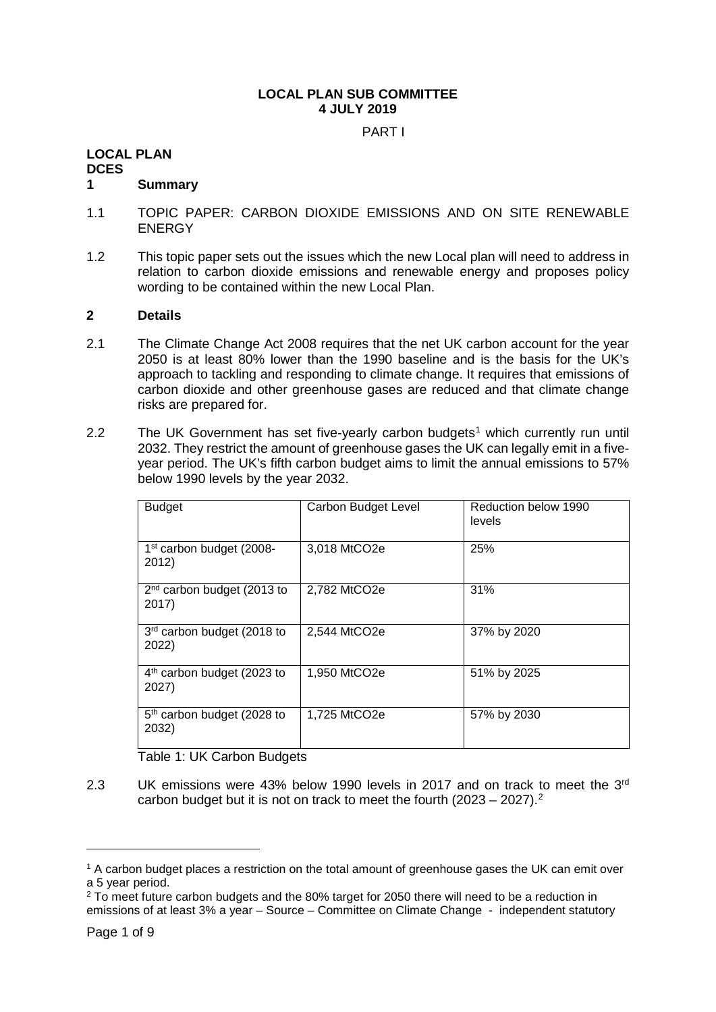## **LOCAL PLAN SUB COMMITTEE 4 JULY 2019**

PART I

#### **LOCAL PLAN**

**DCES**

#### **1 Summary**

- 1.1 TOPIC PAPER: CARBON DIOXIDE EMISSIONS AND ON SITE RENEWABLE ENERGY
- 1.2 This topic paper sets out the issues which the new Local plan will need to address in relation to carbon dioxide emissions and renewable energy and proposes policy wording to be contained within the new Local Plan.

#### **2 Details**

- 2.1 The Climate Change Act 2008 requires that the net UK carbon account for the year 2050 is at least 80% lower than the 1990 baseline and is the basis for the UK's approach to tackling and responding to climate change. It requires that emissions of carbon dioxide and other greenhouse gases are reduced and that climate change risks are prepared for.
- 2.2 The UK Government has set five-yearly carbon budgets<sup>[1](#page-0-0)</sup> which currently run until 2032. They restrict the amount of greenhouse gases the UK can legally emit in a fiveyear period. The UK's fifth carbon budget aims to limit the annual emissions to 57% below 1990 levels by the year 2032.

| <b>Budget</b>                                   | Carbon Budget Level | Reduction below 1990<br>levels |
|-------------------------------------------------|---------------------|--------------------------------|
| 1 <sup>st</sup> carbon budget (2008-<br>2012)   | 3,018 MtCO2e        | 25%                            |
| 2 <sup>nd</sup> carbon budget (2013 to<br>2017) | 2,782 MtCO2e        | 31%                            |
| 3rd carbon budget (2018 to<br>2022)             | 2,544 MtCO2e        | 37% by 2020                    |
| $4th$ carbon budget (2023 to<br>2027)           | 1,950 MtCO2e        | 51% by 2025                    |
| 5 <sup>th</sup> carbon budget (2028 to<br>2032) | 1,725 MtCO2e        | 57% by 2030                    |

Table 1: UK Carbon Budgets

2.3 UK emissions were 43% below 1990 levels in 2017 and on track to meet the  $3<sup>rd</sup>$ carbon budget but it is not on track to meet the fourth  $(2023 - 2027).$  $(2023 - 2027).$  $(2023 - 2027).$ <sup>2</sup>

<span id="page-0-0"></span><sup>&</sup>lt;sup>1</sup> A carbon budget places a restriction on the total amount of greenhouse gases the UK can emit over a 5 year period.

<span id="page-0-1"></span> $2$  To meet future carbon budgets and the 80% target for 2050 there will need to be a reduction in emissions of at least 3% a year – Source – Committee on Climate Change - independent statutory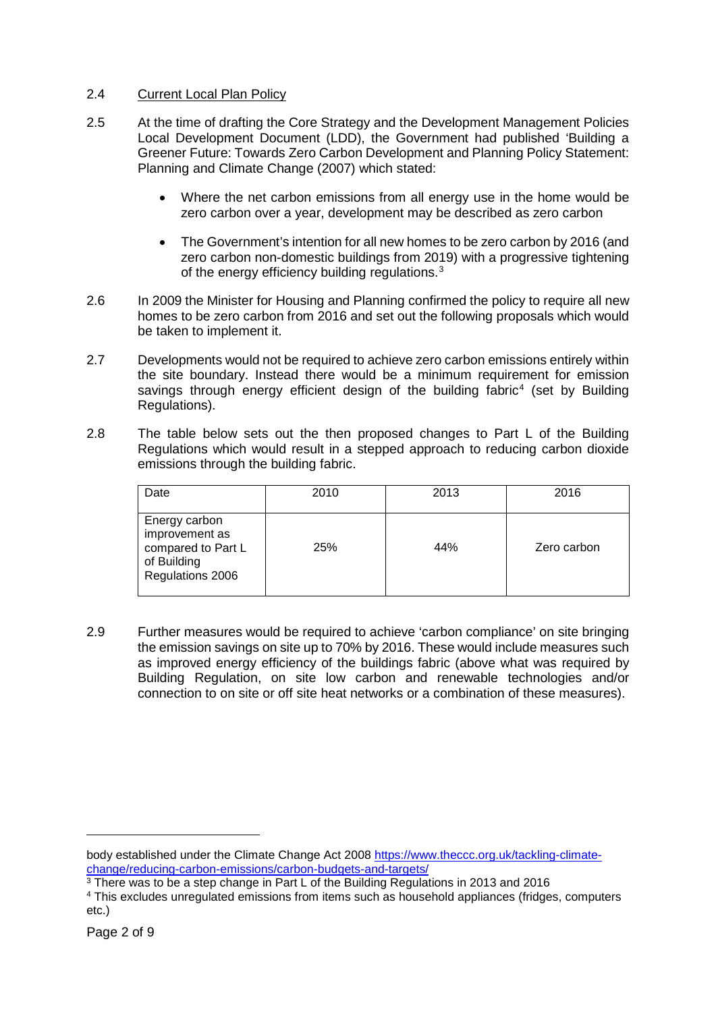#### 2.4 Current Local Plan Policy

- 2.5 At the time of drafting the Core Strategy and the Development Management Policies Local Development Document (LDD), the Government had published 'Building a Greener Future: Towards Zero Carbon Development and Planning Policy Statement: Planning and Climate Change (2007) which stated:
	- Where the net carbon emissions from all energy use in the home would be zero carbon over a year, development may be described as zero carbon
	- The Government's intention for all new homes to be zero carbon by 2016 (and zero carbon non-domestic buildings from 2019) with a progressive tightening of the energy efficiency building regulations.<sup>[3](#page-1-0)</sup>
- 2.6 In 2009 the Minister for Housing and Planning confirmed the policy to require all new homes to be zero carbon from 2016 and set out the following proposals which would be taken to implement it.
- 2.7 Developments would not be required to achieve zero carbon emissions entirely within the site boundary. Instead there would be a minimum requirement for emission savings through energy efficient design of the building fabric<sup>[4](#page-1-1)</sup> (set by Building Regulations).
- 2.8 The table below sets out the then proposed changes to Part L of the Building Regulations which would result in a stepped approach to reducing carbon dioxide emissions through the building fabric.

| Date                                                                                     | 2010 | 2013 | 2016        |
|------------------------------------------------------------------------------------------|------|------|-------------|
| Energy carbon<br>improvement as<br>compared to Part L<br>of Building<br>Regulations 2006 | 25%  | 44%  | Zero carbon |

2.9 Further measures would be required to achieve 'carbon compliance' on site bringing the emission savings on site up to 70% by 2016. These would include measures such as improved energy efficiency of the buildings fabric (above what was required by Building Regulation, on site low carbon and renewable technologies and/or connection to on site or off site heat networks or a combination of these measures).

body established under the Climate Change Act 2008 [https://www.theccc.org.uk/tackling-climate](https://www.theccc.org.uk/tackling-climate-change/reducing-carbon-emissions/carbon-budgets-and-targets/)[change/reducing-carbon-emissions/carbon-budgets-and-targets/](https://www.theccc.org.uk/tackling-climate-change/reducing-carbon-emissions/carbon-budgets-and-targets/)

<span id="page-1-0"></span><sup>&</sup>lt;sup>3</sup> There was to be a step change in Part L of the Building Regulations in 2013 and 2016

<span id="page-1-1"></span><sup>4</sup> This excludes unregulated emissions from items such as household appliances (fridges, computers etc.)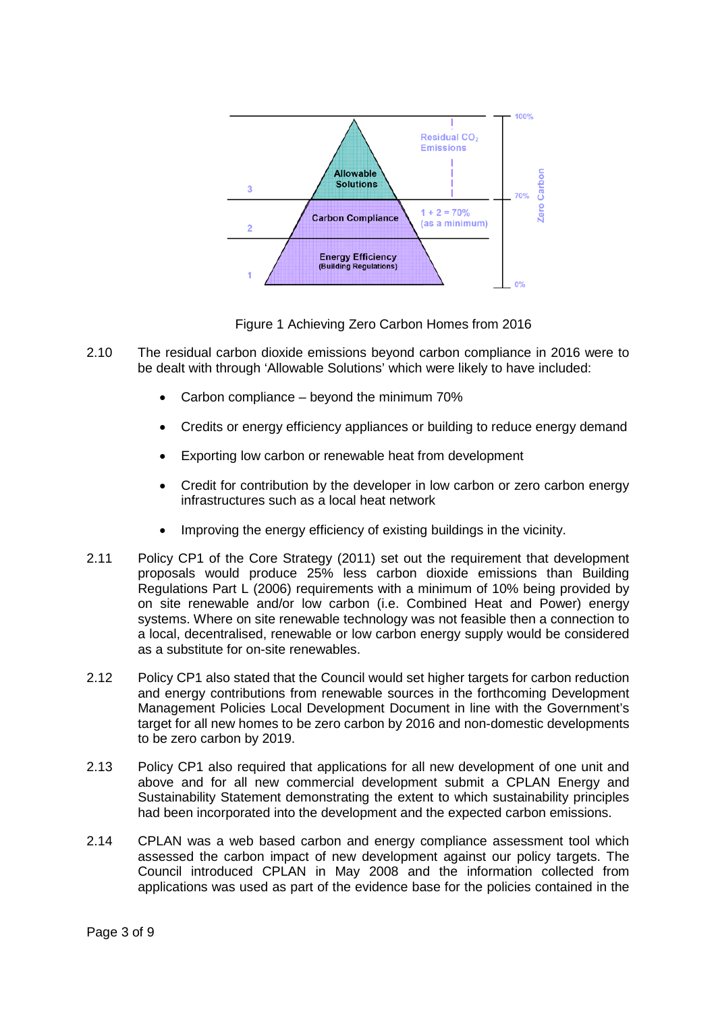

Figure 1 Achieving Zero Carbon Homes from 2016

- 2.10 The residual carbon dioxide emissions beyond carbon compliance in 2016 were to be dealt with through 'Allowable Solutions' which were likely to have included:
	- Carbon compliance beyond the minimum 70%
	- Credits or energy efficiency appliances or building to reduce energy demand
	- Exporting low carbon or renewable heat from development
	- Credit for contribution by the developer in low carbon or zero carbon energy infrastructures such as a local heat network
	- Improving the energy efficiency of existing buildings in the vicinity.
- 2.11 Policy CP1 of the Core Strategy (2011) set out the requirement that development proposals would produce 25% less carbon dioxide emissions than Building Regulations Part L (2006) requirements with a minimum of 10% being provided by on site renewable and/or low carbon (i.e. Combined Heat and Power) energy systems. Where on site renewable technology was not feasible then a connection to a local, decentralised, renewable or low carbon energy supply would be considered as a substitute for on-site renewables.
- 2.12 Policy CP1 also stated that the Council would set higher targets for carbon reduction and energy contributions from renewable sources in the forthcoming Development Management Policies Local Development Document in line with the Government's target for all new homes to be zero carbon by 2016 and non-domestic developments to be zero carbon by 2019.
- 2.13 Policy CP1 also required that applications for all new development of one unit and above and for all new commercial development submit a CPLAN Energy and Sustainability Statement demonstrating the extent to which sustainability principles had been incorporated into the development and the expected carbon emissions.
- 2.14 CPLAN was a web based carbon and energy compliance assessment tool which assessed the carbon impact of new development against our policy targets. The Council introduced CPLAN in May 2008 and the information collected from applications was used as part of the evidence base for the policies contained in the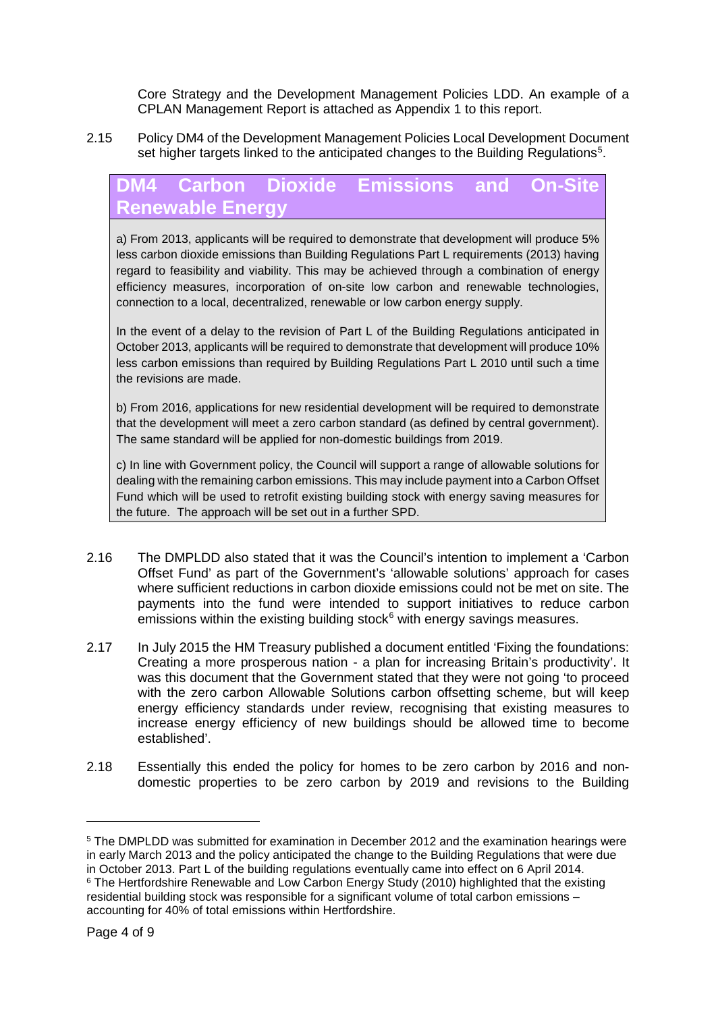Core Strategy and the Development Management Policies LDD. An example of a CPLAN Management Report is attached as Appendix 1 to this report.

2.15 Policy DM4 of the Development Management Policies Local Development Document set higher targets linked to the anticipated changes to the Building Regulations<sup>[5](#page-3-0)</sup>.

# **DM4 Carbon Dioxide Emissions and On-Renewable Energy**

a) From 2013, applicants will be required to demonstrate that development will produce 5% less carbon dioxide emissions than Building Regulations Part L requirements (2013) having regard to feasibility and viability. This may be achieved through a combination of energy efficiency measures, incorporation of on-site low carbon and renewable technologies, connection to a local, decentralized, renewable or low carbon energy supply.

In the event of a delay to the revision of Part L of the Building Regulations anticipated in October 2013, applicants will be required to demonstrate that development will produce 10% less carbon emissions than required by Building Regulations Part L 2010 until such a time the revisions are made.

b) From 2016, applications for new residential development will be required to demonstrate that the development will meet a zero carbon standard (as defined by central government). The same standard will be applied for non-domestic buildings from 2019.

c) In line with Government policy, the Council will support a range of allowable solutions for dealing with the remaining carbon emissions. This may include payment into a Carbon Offset Fund which will be used to retrofit existing building stock with energy saving measures for the future. The approach will be set out in a further SPD.

- 2.16 The DMPLDD also stated that it was the Council's intention to implement a 'Carbon Offset Fund' as part of the Government's 'allowable solutions' approach for cases where sufficient reductions in carbon dioxide emissions could not be met on site. The payments into the fund were intended to support initiatives to reduce carbon emissions within the existing building stock $6$  with energy savings measures.
- 2.17 In July 2015 the HM Treasury published a document entitled 'Fixing the foundations: Creating a more prosperous nation - a plan for increasing Britain's productivity'. It was this document that the Government stated that they were not going 'to proceed with the zero carbon Allowable Solutions carbon offsetting scheme, but will keep energy efficiency standards under review, recognising that existing measures to increase energy efficiency of new buildings should be allowed time to become established'.
- 2.18 Essentially this ended the policy for homes to be zero carbon by 2016 and nondomestic properties to be zero carbon by 2019 and revisions to the Building

<span id="page-3-1"></span><span id="page-3-0"></span><sup>5</sup> The DMPLDD was submitted for examination in December 2012 and the examination hearings were in early March 2013 and the policy anticipated the change to the Building Regulations that were due in October 2013. Part L of the building regulations eventually came into effect on 6 April 2014. <sup>6</sup> The Hertfordshire Renewable and Low Carbon Energy Study (2010) highlighted that the existing residential building stock was responsible for a significant volume of total carbon emissions – accounting for 40% of total emissions within Hertfordshire.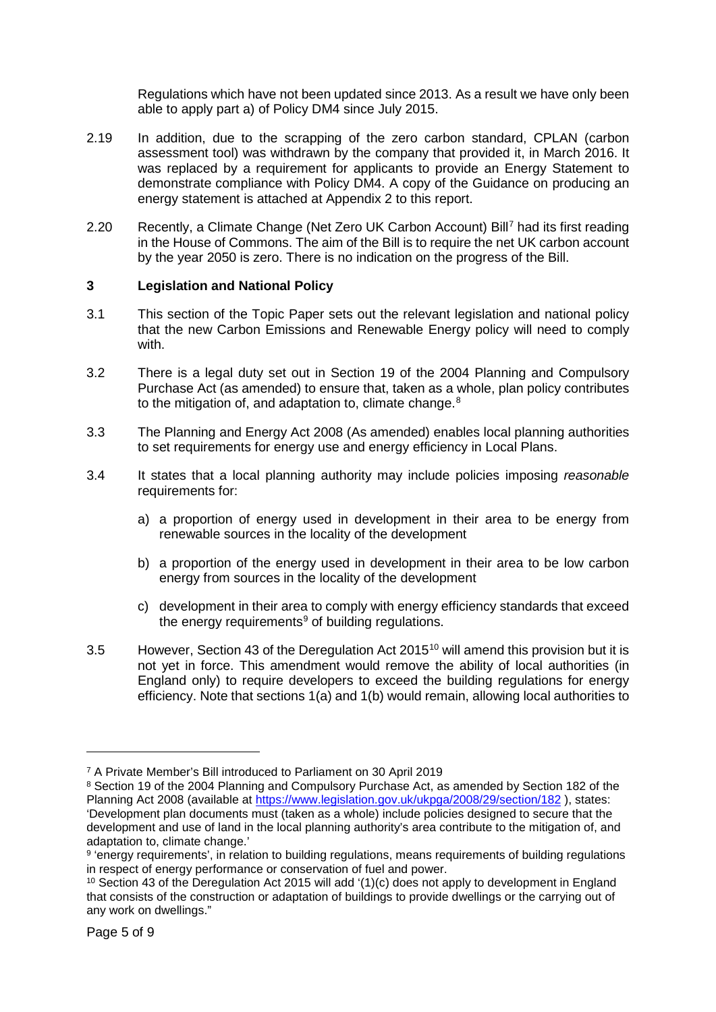Regulations which have not been updated since 2013. As a result we have only been able to apply part a) of Policy DM4 since July 2015.

- 2.19 In addition, due to the scrapping of the zero carbon standard, CPLAN (carbon assessment tool) was withdrawn by the company that provided it, in March 2016. It was replaced by a requirement for applicants to provide an Energy Statement to demonstrate compliance with Policy DM4. A copy of the Guidance on producing an energy statement is attached at Appendix 2 to this report.
- 2.20 Recently, a Climate Change (Net Zero UK Carbon Account) Bill<sup>[7](#page-4-0)</sup> had its first reading in the House of Commons. The aim of the Bill is to require the net UK carbon account by the year 2050 is zero. There is no indication on the progress of the Bill.

## **3 Legislation and National Policy**

- 3.1 This section of the Topic Paper sets out the relevant legislation and national policy that the new Carbon Emissions and Renewable Energy policy will need to comply with.
- 3.2 There is a legal duty set out in Section 19 of the 2004 Planning and Compulsory Purchase Act (as amended) to ensure that, taken as a whole, plan policy contributes to the mitigation of, and adaptation to, climate change.<sup>[8](#page-4-1)</sup>
- 3.3 The Planning and Energy Act 2008 (As amended) enables local planning authorities to set requirements for energy use and energy efficiency in Local Plans.
- 3.4 It states that a local planning authority may include policies imposing *reasonable* requirements for:
	- a) a proportion of energy used in development in their area to be energy from renewable sources in the locality of the development
	- b) a proportion of the energy used in development in their area to be low carbon energy from sources in the locality of the development
	- c) development in their area to comply with energy efficiency standards that exceed the energy requirements $9$  of building regulations.
- 3.5 However, Section 43 of the Deregulation Act 2015[10](#page-4-3) will amend this provision but it is not yet in force. This amendment would remove the ability of local authorities (in England only) to require developers to exceed the building regulations for energy efficiency. Note that sections 1(a) and 1(b) would remain, allowing local authorities to

<span id="page-4-0"></span><sup>7</sup> A Private Member's Bill introduced to Parliament on 30 April 2019

<span id="page-4-1"></span><sup>8</sup> Section 19 of the 2004 Planning and Compulsory Purchase Act, as amended by Section 182 of the Planning Act 2008 (available at<https://www.legislation.gov.uk/ukpga/2008/29/section/182> ), states: 'Development plan documents must (taken as a whole) include policies designed to secure that the development and use of land in the local planning authority's area contribute to the mitigation of, and adaptation to, climate change.'

<span id="page-4-2"></span><sup>9</sup> 'energy requirements', in relation to building regulations, means requirements of building regulations in respect of energy performance or conservation of fuel and power.

<span id="page-4-3"></span><sup>&</sup>lt;sup>10</sup> Section 43 of the Deregulation Act 2015 will add '(1)(c) does not apply to development in England that consists of the construction or adaptation of buildings to provide dwellings or the carrying out of any work on dwellings."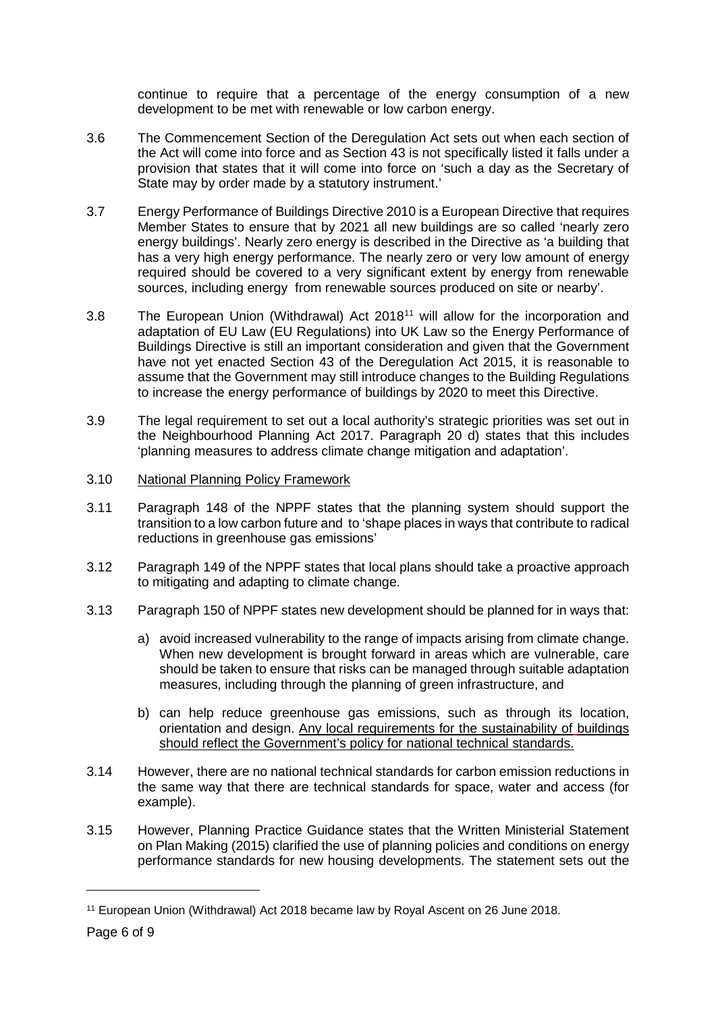continue to require that a percentage of the energy consumption of a new development to be met with renewable or low carbon energy.

- 3.6 The Commencement Section of the Deregulation Act sets out when each section of the Act will come into force and as Section 43 is not specifically listed it falls under a provision that states that it will come into force on 'such a day as the Secretary of State may by order made by a statutory instrument.'
- 3.7 Energy Performance of Buildings Directive 2010 is a European Directive that requires Member States to ensure that by 2021 all new buildings are so called 'nearly zero energy buildings'. Nearly zero energy is described in the Directive as 'a building that has a very high energy performance. The nearly zero or very low amount of energy required should be covered to a very significant extent by energy from renewable sources, including energy from renewable sources produced on site or nearby'.
- 3.8 The European Union (Withdrawal) Act 201[811](#page-5-0) will allow for the incorporation and adaptation of EU Law (EU Regulations) into UK Law so the Energy Performance of Buildings Directive is still an important consideration and given that the Government have not yet enacted Section 43 of the Deregulation Act 2015, it is reasonable to assume that the Government may still introduce changes to the Building Regulations to increase the energy performance of buildings by 2020 to meet this Directive.
- 3.9 The legal requirement to set out a local authority's strategic priorities was set out in the Neighbourhood Planning Act 2017. Paragraph 20 d) states that this includes 'planning measures to address climate change mitigation and adaptation'.
- 3.10 National Planning Policy Framework
- 3.11 Paragraph 148 of the NPPF states that the planning system should support the transition to a low carbon future and to 'shape places in ways that contribute to radical reductions in greenhouse gas emissions'
- 3.12 Paragraph 149 of the NPPF states that local plans should take a proactive approach to mitigating and adapting to climate change.
- 3.13 Paragraph 150 of NPPF states new development should be planned for in ways that:
	- a) avoid increased vulnerability to the range of impacts arising from climate change. When new development is brought forward in areas which are vulnerable, care should be taken to ensure that risks can be managed through suitable adaptation measures, including through the planning of green infrastructure, and
	- b) can help reduce greenhouse gas emissions, such as through its location, orientation and design. Any local requirements for the sustainability of buildings should reflect the Government's policy for national technical standards.
- 3.14 However, there are no national technical standards for carbon emission reductions in the same way that there are technical standards for space, water and access (for example).
- 3.15 However, Planning Practice Guidance states that the Written Ministerial Statement on Plan Making (2015) clarified the use of planning policies and conditions on energy performance standards for new housing developments. The statement sets out the

<span id="page-5-0"></span><sup>11</sup> European Union (Withdrawal) Act 2018 became law by Royal Ascent on 26 June 2018.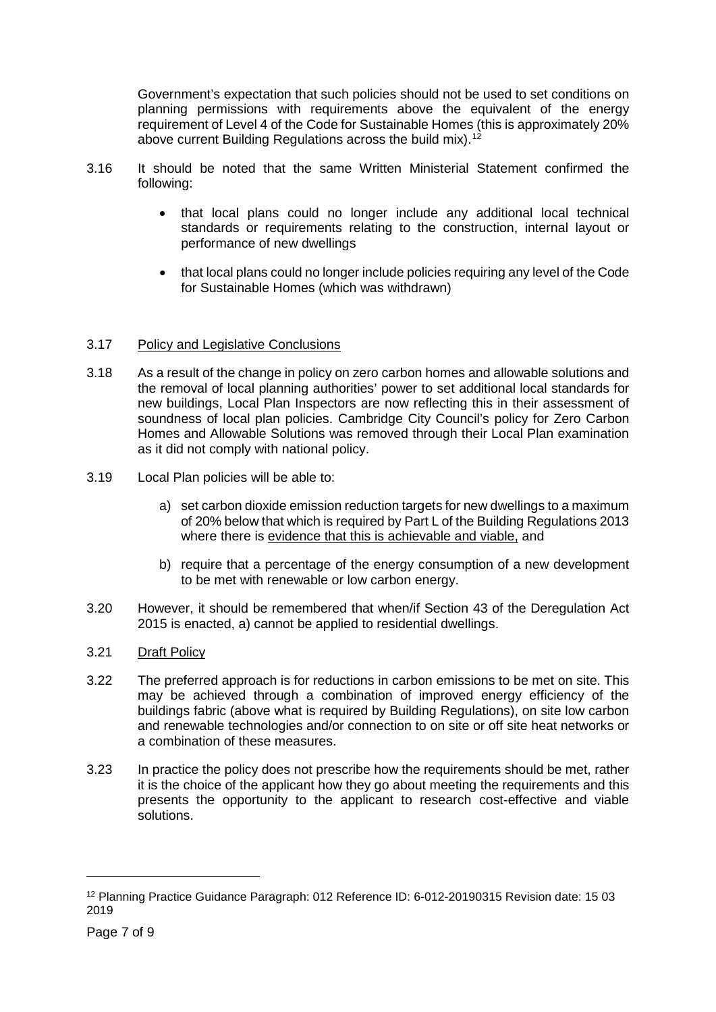Government's expectation that such policies should not be used to set conditions on planning permissions with requirements above the equivalent of the energy requirement of Level 4 of the Code for Sustainable Homes (this is approximately 20% above current Building Regulations across the build mix).<sup>[12](#page-6-0)</sup>

- 3.16 It should be noted that the same Written Ministerial Statement confirmed the following:
	- that local plans could no longer include any additional local technical standards or requirements relating to the construction, internal layout or performance of new dwellings
	- that local plans could no longer include policies requiring any level of the Code for Sustainable Homes (which was withdrawn)

## 3.17 Policy and Legislative Conclusions

- 3.18 As a result of the change in policy on zero carbon homes and allowable solutions and the removal of local planning authorities' power to set additional local standards for new buildings, Local Plan Inspectors are now reflecting this in their assessment of soundness of local plan policies. Cambridge City Council's policy for Zero Carbon Homes and Allowable Solutions was removed through their Local Plan examination as it did not comply with national policy.
- 3.19 Local Plan policies will be able to:
	- a) set carbon dioxide emission reduction targets for new dwellings to a maximum of 20% below that which is required by Part L of the Building Regulations 2013 where there is evidence that this is achievable and viable, and
	- b) require that a percentage of the energy consumption of a new development to be met with renewable or low carbon energy.
- 3.20 However, it should be remembered that when/if Section 43 of the Deregulation Act 2015 is enacted, a) cannot be applied to residential dwellings.
- 3.21 Draft Policy
- 3.22 The preferred approach is for reductions in carbon emissions to be met on site. This may be achieved through a combination of improved energy efficiency of the buildings fabric (above what is required by Building Regulations), on site low carbon and renewable technologies and/or connection to on site or off site heat networks or a combination of these measures.
- 3.23 In practice the policy does not prescribe how the requirements should be met, rather it is the choice of the applicant how they go about meeting the requirements and this presents the opportunity to the applicant to research cost-effective and viable solutions.

<span id="page-6-0"></span><sup>12</sup> Planning Practice Guidance Paragraph: 012 Reference ID: 6-012-20190315 Revision date: 15 03 2019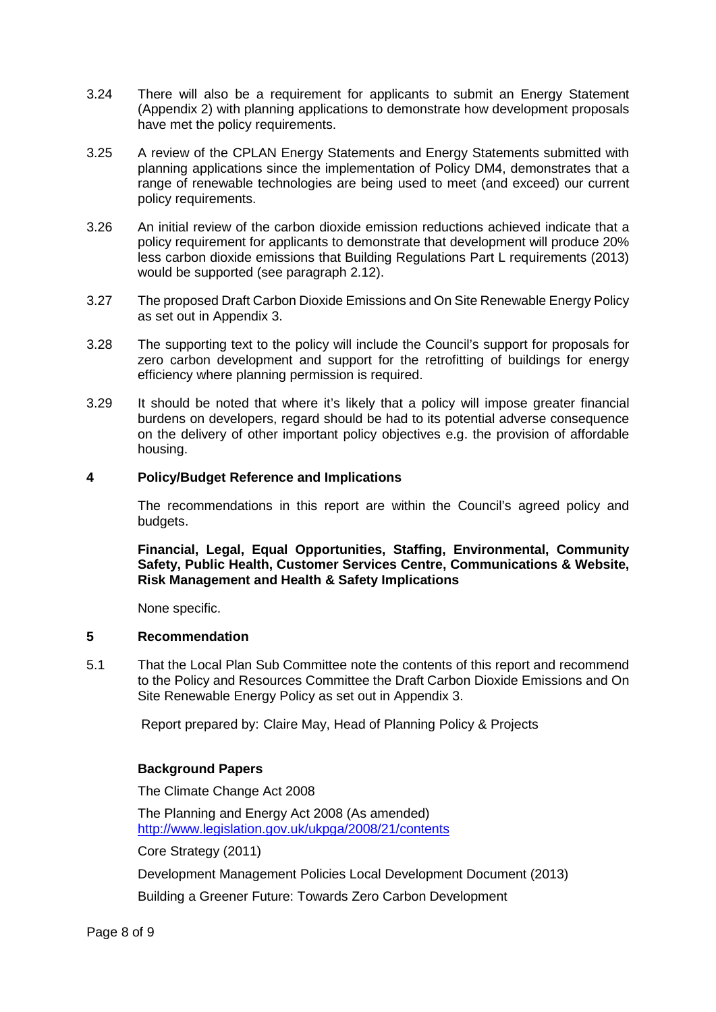- 3.24 There will also be a requirement for applicants to submit an Energy Statement (Appendix 2) with planning applications to demonstrate how development proposals have met the policy requirements.
- 3.25 A review of the CPLAN Energy Statements and Energy Statements submitted with planning applications since the implementation of Policy DM4, demonstrates that a range of renewable technologies are being used to meet (and exceed) our current policy requirements.
- 3.26 An initial review of the carbon dioxide emission reductions achieved indicate that a policy requirement for applicants to demonstrate that development will produce 20% less carbon dioxide emissions that Building Regulations Part L requirements (2013) would be supported (see paragraph 2.12).
- 3.27 The proposed Draft Carbon Dioxide Emissions and On Site Renewable Energy Policy as set out in Appendix 3.
- 3.28 The supporting text to the policy will include the Council's support for proposals for zero carbon development and support for the retrofitting of buildings for energy efficiency where planning permission is required.
- 3.29 It should be noted that where it's likely that a policy will impose greater financial burdens on developers, regard should be had to its potential adverse consequence on the delivery of other important policy objectives e.g. the provision of affordable housing.

#### **4 Policy/Budget Reference and Implications**

The recommendations in this report are within the Council's agreed policy and budgets.

**Financial, Legal, Equal Opportunities, Staffing, Environmental, Community Safety, Public Health, Customer Services Centre, Communications & Website, Risk Management and Health & Safety Implications**

None specific.

#### **5 Recommendation**

5.1 That the Local Plan Sub Committee note the contents of this report and recommend to the Policy and Resources Committee the Draft Carbon Dioxide Emissions and On Site Renewable Energy Policy as set out in Appendix 3.

Report prepared by: Claire May, Head of Planning Policy & Projects

## **Background Papers**

The Climate Change Act 2008

The Planning and Energy Act 2008 (As amended) <http://www.legislation.gov.uk/ukpga/2008/21/contents>

Core Strategy (2011)

Development Management Policies Local Development Document (2013)

Building a Greener Future: Towards Zero Carbon Development